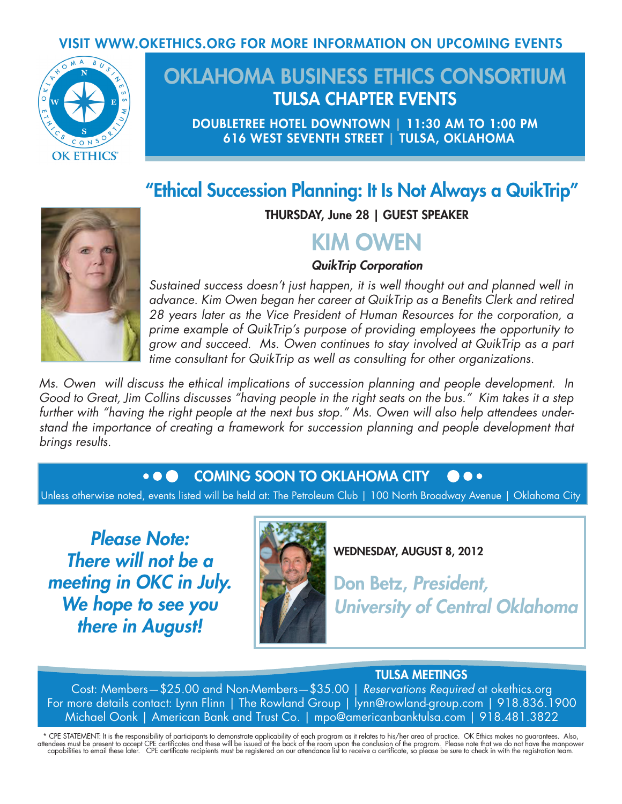## VISIT WWW.OKETHICS.ORG FOR MORE INFORMATION ON UPCOMING EVENTS



# OKLAHOMA BUSINESS ETHICS CONSORTIUM TULSA CHAPTER EVENTS

DOUBLETREE HOTEL DOWNTOWN | 11:30 AM TO 1:00 PM 616 WEST SEVENTH STREET | TULSA, OKLAHOMA

## "Ethical Succession Planning: It Is Not Always a QuikTrip"



THURSDAY, June 28 | GUEST SPEAKER

# KIM OWEN

### *QuikTrip Corporation*

*Sustained success doesn't just happen, it is well thought out and planned well in advance. Kim Owen began her career at QuikTrip as a Benefits Clerk and retired 28 years later as the Vice President of Human Resources for the corporation, a prime example of QuikTrip's purpose of providing employees the opportunity to grow and succeed. Ms. Owen continues to stay involved at QuikTrip as a part time consultant for QuikTrip as well as consulting for other organizations.*

*Ms. Owen will discuss the ethical implications of succession planning and people development. In Good to Great, Jim Collins discusses "having people in the right seats on the bus." Kim takes it a step further with "having the right people at the next bus stop." Ms. Owen will also help attendees understand the importance of creating a framework for succession planning and people development that brings results.*

#### COMING SOON TO OKLAHOMA CITY $\bullet$   $\bullet$   $\bullet$

Unless otherwise noted, events listed will be held at: The Petroleum Club | 100 North Broadway Avenue | Oklahoma City

*Please Note: There will not be a meeting in OKC in July. We hope to see you there in August!*



WEDNESDAY, AUGUST 8, 2012

Don Betz, *President, University of Central Oklahoma*

## TULSA MEETINGS

Cost: Members—\$25.00 and Non-Members—\$35.00 | *Reservations Required* at okethics.org For more details contact: Lynn Flinn | The Rowland Group | lynn@rowland-group.com | 918.836.1900 Michael Oonk | American Bank and Trust Co. | mpo@americanbanktulsa.com | 918.481.3822

\* CPE STATEMENT: It is the responsibility of participants to demonstrate applicability of each program as it relates to his/her area of practice. OK Ethics makes no guarantees. Also,<br>attendees must be present to accept CPE